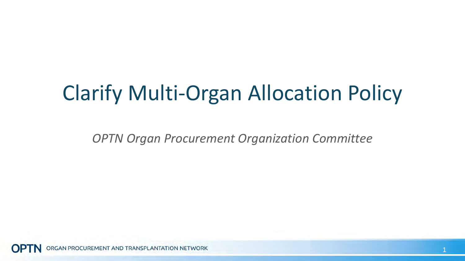### Clarify Multi-Organ Allocation Policy

*OPTN Organ Procurement Organization Committee*

RGAN PROCUREMENT AND TRANSPLANTATION NETWORK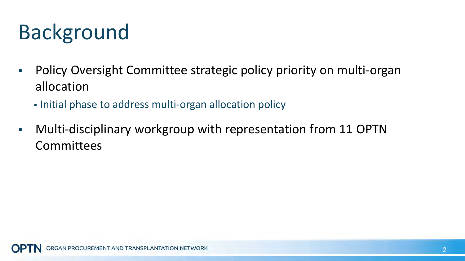# Background

- **Policy Oversight Committee strategic policy priority on multi-organ** allocation
	- Initial phase to address multi-organ allocation policy
- Multi-disciplinary workgroup with representation from 11 OPTN **Committees**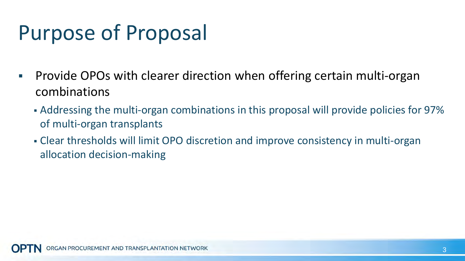# Purpose of Proposal

- **Provide OPOs with clearer direction when offering certain multi-organ** combinations
	- Addressing the multi-organ combinations in this proposal will provide policies for 97% of multi-organ transplants
	- Clear thresholds will limit OPO discretion and improve consistency in multi-organ allocation decision-making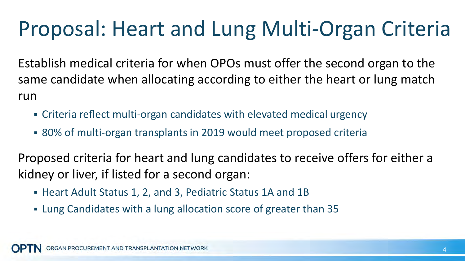## Proposal: Heart and Lung Multi-Organ Criteria

Establish medical criteria for when OPOs must offer the second organ to the same candidate when allocating according to either the heart or lung match run

- Criteria reflect multi-organ candidates with elevated medical urgency
- 80% of multi-organ transplants in 2019 would meet proposed criteria

Proposed criteria for heart and lung candidates to receive offers for either a kidney or liver, if listed for a second organ:

- Heart Adult Status 1, 2, and 3, Pediatric Status 1A and 1B
- Lung Candidates with a lung allocation score of greater than 35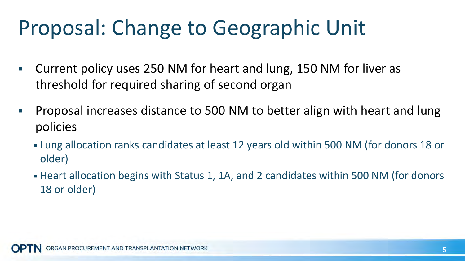### Proposal: Change to Geographic Unit

- Current policy uses 250 NM for heart and lung, 150 NM for liver as threshold for required sharing of second organ
- **Proposal increases distance to 500 NM to better align with heart and lung** policies
	- Lung allocation ranks candidates at least 12 years old within 500 NM (for donors 18 or older)
	- Heart allocation begins with Status 1, 1A, and 2 candidates within 500 NM (for donors 18 or older)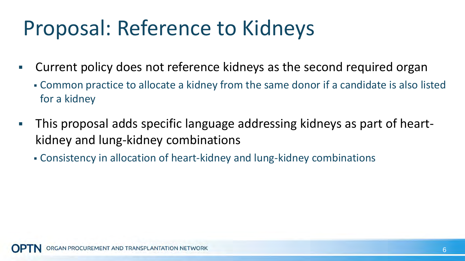## Proposal: Reference to Kidneys

- Current policy does not reference kidneys as the second required organ
	- Common practice to allocate a kidney from the same donor if a candidate is also listed for a kidney
- This proposal adds specific language addressing kidneys as part of heartkidney and lung-kidney combinations
	- Consistency in allocation of heart-kidney and lung-kidney combinations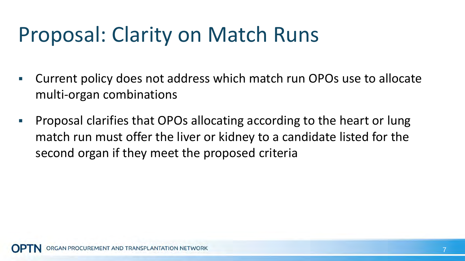### Proposal: Clarity on Match Runs

- Current policy does not address which match run OPOs use to allocate multi-organ combinations
- **Proposal clarifies that OPOs allocating according to the heart or lung** match run must offer the liver or kidney to a candidate listed for the second organ if they meet the proposed criteria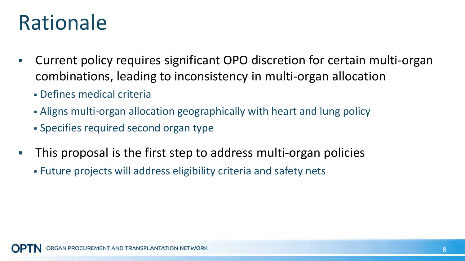#### Rationale

- Current policy requires significant OPO discretion for certain multi-organ combinations, leading to inconsistency in multi-organ allocation
	- Defines medical criteria
	- Aligns multi-organ allocation geographically with heart and lung policy
	- Specifies required second organ type
- This proposal is the first step to address multi-organ policies
	- Future projects will address eligibility criteria and safety nets